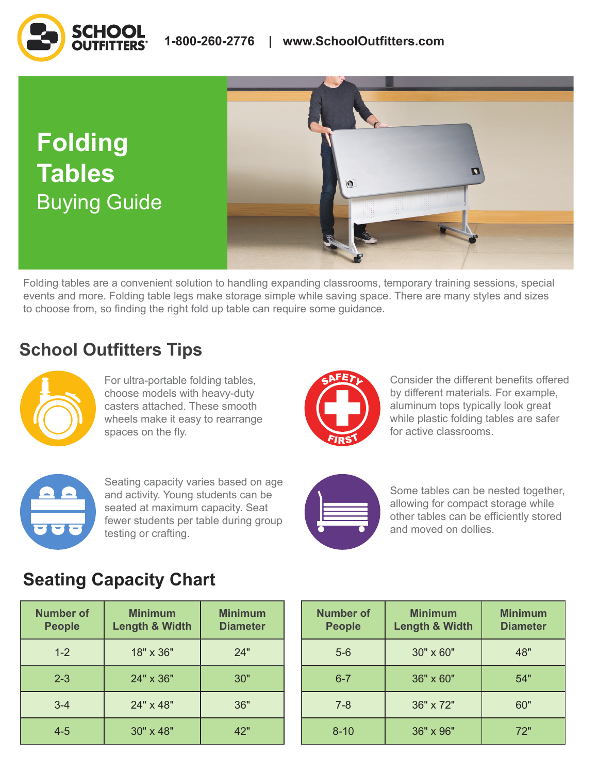**Folding Tables** Buying Guide



Folding tables are a convenient solution to handling expanding classrooms, temporary training sessions, special events and more. Folding table legs make storage simple while saving space. There are many styles and sizes to choose from, so finding the right fold up table can require some guidance.

## **School Outfitters Tips**



For ultra-portable folding tables, choose models with heavy-duty casters attached. These smooth wheels make it easy to rearrange spaces on the fly.



Consider the different benefits offered by different materials. For example, aluminum tops typically look great while plastic folding tables are safer for active classrooms.



Seating capacity varies based on age and activity. Young students can be seated at maximum capacity. Seat fewer students per table during group testing or crafting.



Some tables can be nested together, allowing for compact storage while other tables can be efficiently stored and moved on dollies.

# **Seating Capacity Chart**

| <b>Number of</b><br><b>People</b> | <b>Minimum</b><br><b>Length &amp; Width</b> | <b>Minimum</b><br><b>Diameter</b> |  |
|-----------------------------------|---------------------------------------------|-----------------------------------|--|
| $1 - 2$                           | 18" x 36"                                   | 24"                               |  |
| $2 - 3$                           | 24" x 36"                                   | 30"                               |  |
| $3 - 4$                           | 24" x 48"                                   | 36"                               |  |
| $4 - 5$                           | 30" x 48"                                   | 42"                               |  |

| nber of<br><b>algos</b> | <b>Minimum</b><br><b>Length &amp; Width</b> | <b>Minimum</b><br><b>Diameter</b> | <b>Number of</b><br><b>People</b> | <b>Minimum</b><br><b>Length &amp; Width</b> | <b>Minimum</b><br><b>Diameter</b> |
|-------------------------|---------------------------------------------|-----------------------------------|-----------------------------------|---------------------------------------------|-----------------------------------|
| $1 - 2$                 | 18" x 36"                                   | 24"                               | $5-6$                             | 30" x 60"                                   | 48"                               |
| $2 - 3$                 | 24" x 36"                                   | 30"                               | $6 - 7$                           | 36" x 60"                                   | 54"                               |
| $3 - 4$                 | 24" x 48"                                   | 36"                               | $7 - 8$                           | 36" x 72"                                   | 60"                               |
| $4 - 5$                 | 30" x 48"                                   | 42"                               | $8 - 10$                          | 36" x 96"                                   | 72"                               |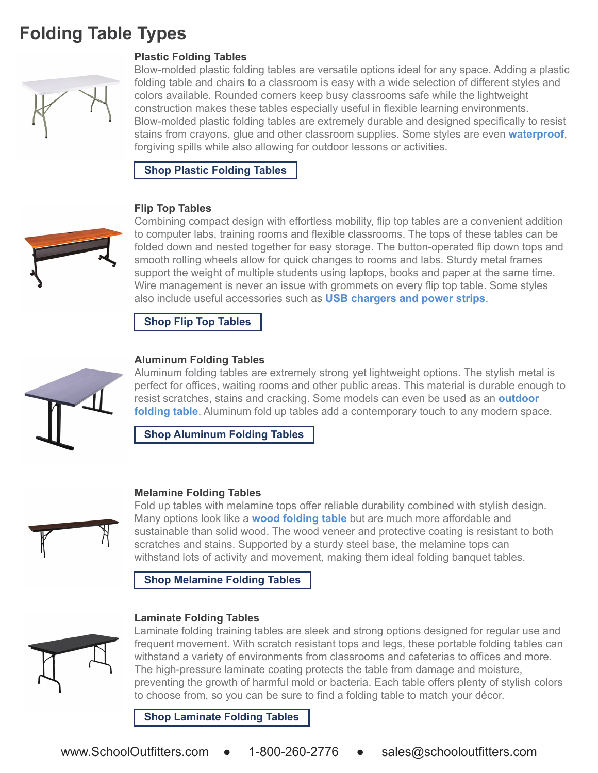# **Folding Table Types**



## **Plastic Folding Tables**

Blow-molded plastic folding tables are versatile options ideal for any space. Adding a plastic folding table and chairs to a classroom is easy with a wide selection of different styles and colors available. Rounded corners keep busy classrooms safe while the lightweight construction makes these tables especially useful in flexible learning environments. Blow-molded plastic folding tables are extremely durable and designed specifically to resist stains from crayons, glue and other classroom supplies. Some styles are even **[waterproof](https://www.schooloutfitters.com/catalog/product_family_info/pfam_id/PFAM1720?sc_cid=BuyingGuide_FoldingTables_ProductLinks_Waterproof)**, forgiving spills while also allowing for outdoor lessons or activities.

**[Shop Plastic Folding Tables](https://www.schooloutfitters.com/catalog/default/cPath/CAT10_CAT70?page=1&view=grid&filter=v_SurfaceMaterial_uFilter:%22Plastic%22&sc_cid=BuyingGuide_FoldingTables_ProductLinks_ShopPlasticFoldingTables)** 

### **Flip Top Tables**



Combining compact design with effortless mobility, flip top tables are a convenient addition to computer labs, training rooms and flexible classrooms. The tops of these tables can be folded down and nested together for easy storage. The button-operated flip down tops and smooth rolling wheels allow for quick changes to rooms and labs. Sturdy metal frames support the weight of multiple students using laptops, books and paper at the same time. Wire management is never an issue with grommets on every flip top table. Some styles also include useful accessories such as **[USB chargers and power strips](https://www.schooloutfitters.com/catalog/product_info/pfam_id/PFAM69640/products_id/PRO80986?sc_cid=BuyingGuide_FoldingTables_ProductLinks_USBChargersandPowerStrips)**.

**[Shop Flip Top Tables](https://www.schooloutfitters.com/catalog/search_results.php?keywords=flip%20top%20tables?sc_cid=BuyingGuide_FoldingTables_ProductLinks_ShopFlipTopTables)** 



## **Aluminum Folding Tables**

Aluminum folding tables are extremely strong yet lightweight options. The stylish metal is perfect for offices, waiting rooms and other public areas. This material is durable enough to resist scratches, stains and cracking. Some models can even be used as an **[outdoor](https://www.schooloutfitters.com/catalog/product_family_info/pfam_id/PFAM6607?sc_cid=BuyingGuide_FoldingTables_ProductLinks_OutdoorFoldingTable)  [folding table](https://www.schooloutfitters.com/catalog/product_family_info/pfam_id/PFAM6607?sc_cid=BuyingGuide_FoldingTables_ProductLinks_OutdoorFoldingTable)**. Aluminum fold up tables add a contemporary touch to any modern space.

**[Shop Aluminum Folding Tables](https://www.schooloutfitters.com/catalog/default/cPath/CAT10_CAT70?page=1&view=grid&filter=v_SurfaceMaterial_uFilter:%22Aluminum%22&sc_cid=BuyingGuide_FoldingTables_ProductLinks_ShopAluminumFoldingTables)** 

### **Melamine Folding Tables**

Fold up tables with melamine tops offer reliable durability combined with stylish design. Many options look like a **[wood folding table](https://www.schooloutfitters.com/catalog/product_family_info/pfam_id/PFAM9454?sc_cid=BuyingGuide_FoldingTables_ProductLinks_WoodFoldingTable?sc_cid=BuyingGuide_FoldingTables_ProductLinks_WoodFoldingTable)** but are much more affordable and sustainable than solid wood. The wood veneer and protective coating is resistant to both scratches and stains. Supported by a sturdy steel base, the melamine tops can withstand lots of activity and movement, making them ideal folding banquet tables.

**[Shop Melamine Folding Tables](https://www.schooloutfitters.com/catalog/default/cPath/CAT10_CAT70?page=1&view=grid&filter=v_SurfaceMaterial_uFilter:%22Melamine%22&sc_cid=BuyingGuide_FoldingTables_ProductLinks_ShopMelamineFoldingTables)** 

### **Laminate Folding Tables**



Laminate folding training tables are sleek and strong options designed for regular use and frequent movement. With scratch resistant tops and legs, these portable folding tables can withstand a variety of environments from classrooms and cafeterias to offices and more. The high-pressure laminate coating protects the table from damage and moisture, preventing the growth of harmful mold or bacteria. Each table offers plenty of stylish colors to choose from, so you can be sure to find a folding table to match your décor.

**[Shop Laminate Folding Tables](https://www.schooloutfitters.com/catalog/default/cPath/CAT10_CAT70?page=1&view=grid&filter=v_SurfaceMaterial_uFilter:%22Laminate%22&sc_cid=BuyingGuide_FoldingTables_ProductLinks_ShopLaminateFoldingTables)**